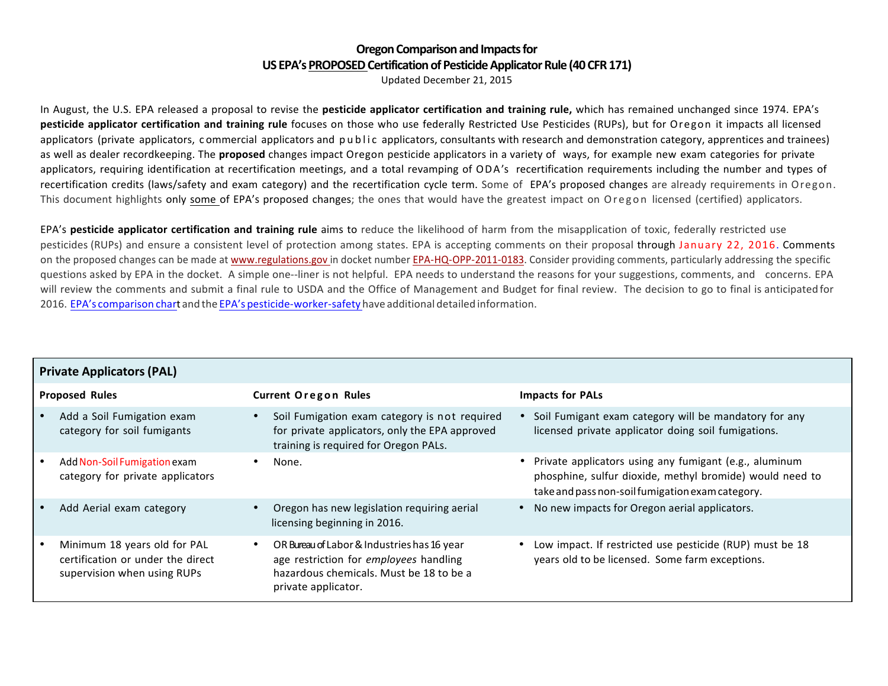## **Oregon Comparison and Impacts for US EPA's PROPOSED Certification of Pesticide Applicator Rule (40 CFR 171)**

Updated December 21, 2015

In August, the U.S. EPA released a proposal to revise the **pesticide applicator certification and training rule,** which has remained unchanged since 1974. EPA's **pesticide applicator certification and training rule** focuses on those who use federally Restricted Use Pesticides (RUPs), but for Oregon it impacts all licensed applicators (private applicators, commercial applicators and public applicators, consultants with research and demonstration category, apprentices and trainees) as well as dealer recordkeeping. The **proposed** changes impact Oregon pesticide applicators in a variety of ways, for example new exam categories for private applicators, requiring identification at recertification meetings, and a total revamping of ODA's recertification requirements including the number and types of recertification credits (laws/safety and exam category) and the recertification cycle term. Some of EPA's proposed changes are already requirements in Oregon. This document highlights only some of EPA's proposed changes; the ones that would have the greatest impact on Oregon licensed (certified) applicators.

EPA's **pesticide applicator certification and training rule** aims to reduce the likelihood of harm from the misapplication of toxic, federally restricted use pesticides (RUPs) and ensure a consistent level of protection among states. EPA is accepting comments on their proposal through January 22, 2016. Comments on the proposed changes can be made at www.regulations.gov in docket number EPA-HQ-OPP-2011-0183. Consider providing comments, particularly addressing the specific questions asked by EPA in the docket. A simple one--liner is not helpful. EPA needs to understand the reasons for your suggestions, comments, and concerns. EPA will review the comments and submit a final rule to USDA and the Office of Management and Budget for final review. The decision to go to final is anticipated for 2016. EPA's comparison chart and the EPA's pesticide-worker-safety have additional detailed information.

|                       | <b>Private Applicators (PAL)</b>                                                                 |                                                                                                                                                         |                                                                                                                                                                        |  |  |
|-----------------------|--------------------------------------------------------------------------------------------------|---------------------------------------------------------------------------------------------------------------------------------------------------------|------------------------------------------------------------------------------------------------------------------------------------------------------------------------|--|--|
| <b>Proposed Rules</b> |                                                                                                  | <b>Current Oregon Rules</b>                                                                                                                             | <b>Impacts for PALs</b>                                                                                                                                                |  |  |
|                       | Add a Soil Fumigation exam<br>category for soil fumigants                                        | Soil Fumigation exam category is not required<br>for private applicators, only the EPA approved<br>training is required for Oregon PALs.                | Soil Fumigant exam category will be mandatory for any<br>licensed private applicator doing soil fumigations.                                                           |  |  |
|                       | Add Non-Soil Fumigation exam<br>category for private applicators                                 | None.                                                                                                                                                   | Private applicators using any fumigant (e.g., aluminum<br>phosphine, sulfur dioxide, methyl bromide) would need to<br>take and pass non-soil fumigation exam category. |  |  |
|                       | Add Aerial exam category                                                                         | Oregon has new legislation requiring aerial<br>licensing beginning in 2016.                                                                             | No new impacts for Oregon aerial applicators.                                                                                                                          |  |  |
|                       | Minimum 18 years old for PAL<br>certification or under the direct<br>supervision when using RUPs | OR Bureau of Labor & Industries has 16 year<br>age restriction for employees handling<br>hazardous chemicals. Must be 18 to be a<br>private applicator. | Low impact. If restricted use pesticide (RUP) must be 18<br>years old to be licensed. Some farm exceptions.                                                            |  |  |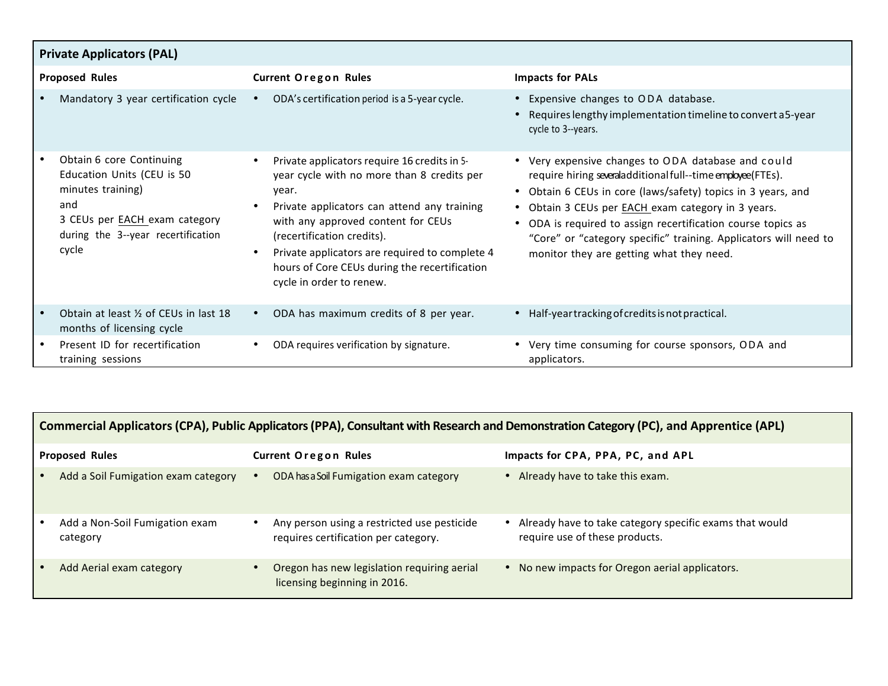|                       | <b>Private Applicators (PAL)</b>                                                                                                                                          |                                                                                                                                                                                                                                                                                                                                                                                 |                                                                                                                                                                                                                                                                                                                                                                                                                                 |  |  |  |  |
|-----------------------|---------------------------------------------------------------------------------------------------------------------------------------------------------------------------|---------------------------------------------------------------------------------------------------------------------------------------------------------------------------------------------------------------------------------------------------------------------------------------------------------------------------------------------------------------------------------|---------------------------------------------------------------------------------------------------------------------------------------------------------------------------------------------------------------------------------------------------------------------------------------------------------------------------------------------------------------------------------------------------------------------------------|--|--|--|--|
| <b>Proposed Rules</b> |                                                                                                                                                                           | <b>Current Oregon Rules</b>                                                                                                                                                                                                                                                                                                                                                     | <b>Impacts for PALs</b>                                                                                                                                                                                                                                                                                                                                                                                                         |  |  |  |  |
|                       | Mandatory 3 year certification cycle                                                                                                                                      | ODA's certification period is a 5-year cycle.<br>$\bullet$                                                                                                                                                                                                                                                                                                                      | • Expensive changes to ODA database.<br>Requires lengthy implementation timeline to convert a5-year<br>cycle to 3--years.                                                                                                                                                                                                                                                                                                       |  |  |  |  |
|                       | Obtain 6 core Continuing<br>Education Units (CEU is 50<br>minutes training)<br>and<br>3 CEUs per <b>EACH</b> exam category<br>during the 3--year recertification<br>cycle | Private applicators require 16 credits in 5-<br>$\bullet$<br>year cycle with no more than 8 credits per<br>year.<br>Private applicators can attend any training<br>with any approved content for CEUs<br>(recertification credits).<br>Private applicators are required to complete 4<br>$\bullet$<br>hours of Core CEUs during the recertification<br>cycle in order to renew. | • Very expensive changes to ODA database and could<br>require hiring severaladditional full--time employee (FTEs).<br>Obtain 6 CEUs in core (laws/safety) topics in 3 years, and<br>$\bullet$<br>Obtain 3 CEUs per EACH exam category in 3 years.<br>ODA is required to assign recertification course topics as<br>"Core" or "category specific" training. Applicators will need to<br>monitor they are getting what they need. |  |  |  |  |
|                       | Obtain at least 1/2 of CEUs in last 18<br>months of licensing cycle                                                                                                       | ODA has maximum credits of 8 per year.<br>$\bullet$                                                                                                                                                                                                                                                                                                                             | • Half-year tracking of credits is not practical.                                                                                                                                                                                                                                                                                                                                                                               |  |  |  |  |
|                       | Present ID for recertification<br>training sessions                                                                                                                       | ODA requires verification by signature.                                                                                                                                                                                                                                                                                                                                         | Very time consuming for course sponsors, ODA and<br>applicators.                                                                                                                                                                                                                                                                                                                                                                |  |  |  |  |

|                       | Commercial Applicators (CPA), Public Applicators (PPA), Consultant with Research and Demonstration Category (PC), and Apprentice (APL) |                             |                                                                                     |  |                                                                                           |  |
|-----------------------|----------------------------------------------------------------------------------------------------------------------------------------|-----------------------------|-------------------------------------------------------------------------------------|--|-------------------------------------------------------------------------------------------|--|
| <b>Proposed Rules</b> |                                                                                                                                        | <b>Current Oregon Rules</b> |                                                                                     |  | Impacts for CPA, PPA, PC, and APL                                                         |  |
|                       | Add a Soil Fumigation exam category                                                                                                    |                             | ODA has a Soil Fumigation exam category                                             |  | • Already have to take this exam.                                                         |  |
|                       | Add a Non-Soil Fumigation exam<br>category                                                                                             |                             | Any person using a restricted use pesticide<br>requires certification per category. |  | Already have to take category specific exams that would<br>require use of these products. |  |
|                       | Add Aerial exam category                                                                                                               |                             | Oregon has new legislation requiring aerial<br>licensing beginning in 2016.         |  | • No new impacts for Oregon aerial applicators.                                           |  |